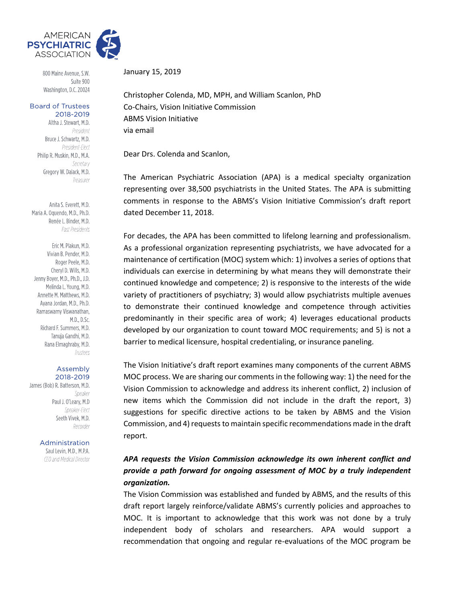

800 Maine Avenue, S.W. Suite 900 Washington, D.C. 20024

#### **Board of Trustees** 2018-2019

Altha J. Stewart, M.D. President Bruce J. Schwartz, M.D. President-Elect Philip R. Muskin, M.D., M.A. Secretary Gregory W. Dalack, M.D. Treasurer

Anita S. Everett, M.D. Maria A. Oquendo, M.D., Ph.D. Renée L. Binder, M.D. Past Presidents

Eric M. Plakun, M.D. Vivian B. Pender, M.D. Roger Peele, M.D. Cheryl D. Wills, M.D. Jenny Boyer, M.D., Ph.D., J.D. Melinda L. Young, M.D. Annette M. Matthews, M.D. Avana Jordan, M.D., Ph.D. Ramaswamy Viswanathan, M.D., D.Sc. Richard F. Summers, M.D. Tanuja Gandhi, M.D. Rana Elmaghraby, M.D. Trustees

#### Assembly 2018-2019

James (Bob) R. Batterson, M.D. Speaker Paul J. O'Leary, M.D Speaker-Flect Seeth Vivek, M.D. Recorder

Administration

Saul Levin, M.D., M.P.A. CEO and Medical Director

January 15, 2019

Christopher Colenda, MD, MPH, and William Scanlon, PhD Co-Chairs, Vision Initiative Commission ABMS Vision Initiative via email

Dear Drs. Colenda and Scanlon,

The American Psychiatric Association (APA) is a medical specialty organization representing over 38,500 psychiatrists in the United States. The APA is submitting comments in response to the ABMS's Vision Initiative Commission's draft report dated December 11, 2018.

For decades, the APA has been committed to lifelong learning and professionalism. As a professional organization representing psychiatrists, we have advocated for a maintenance of certification (MOC) system which: 1) involves a series of options that individuals can exercise in determining by what means they will demonstrate their continued knowledge and competence; 2) is responsive to the interests of the wide variety of practitioners of psychiatry; 3) would allow psychiatrists multiple avenues to demonstrate their continued knowledge and competence through activities predominantly in their specific area of work; 4) leverages educational products developed by our organization to count toward MOC requirements; and 5) is not a barrier to medical licensure, hospital credentialing, or insurance paneling.

The Vision Initiative's draft report examines many components of the current ABMS MOC process. We are sharing our comments in the following way: 1) the need for the Vision Commission to acknowledge and address its inherent conflict, 2) inclusion of new items which the Commission did not include in the draft the report, 3) suggestions for specific directive actions to be taken by ABMS and the Vision Commission, and 4) requests to maintain specific recommendations made in the draft report.

# *APA requests the Vision Commission acknowledge its own inherent conflict and provide a path forward for ongoing assessment of MOC by a truly independent organization.*

The Vision Commission was established and funded by ABMS, and the results of this draft report largely reinforce/validate ABMS's currently policies and approaches to MOC. It is important to acknowledge that this work was not done by a truly independent body of scholars and researchers. APA would support a recommendation that ongoing and regular re-evaluations of the MOC program be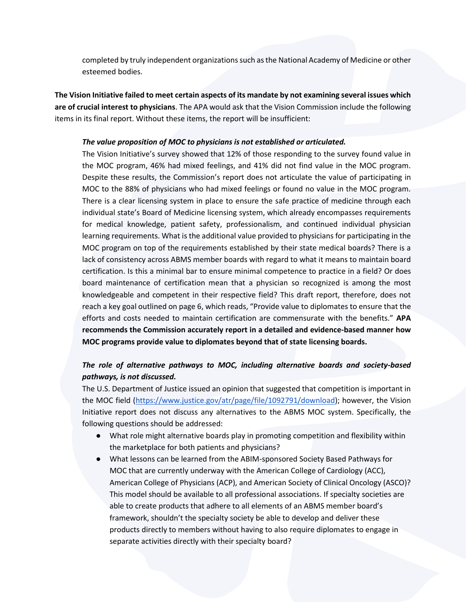completed by truly independent organizations such as the National Academy of Medicine or other esteemed bodies.

**The Vision Initiative failed to meet certain aspects of its mandate by not examining several issues which are of crucial interest to physicians**. The APA would ask that the Vision Commission include the following items in its final report. Without these items, the report will be insufficient:

### *The value proposition of MOC to physicians is not established or articulated.*

The Vision Initiative's survey showed that 12% of those responding to the survey found value in the MOC program, 46% had mixed feelings, and 41% did not find value in the MOC program. Despite these results, the Commission's report does not articulate the value of participating in MOC to the 88% of physicians who had mixed feelings or found no value in the MOC program. There is a clear licensing system in place to ensure the safe practice of medicine through each individual state's Board of Medicine licensing system, which already encompasses requirements for medical knowledge, patient safety, professionalism, and continued individual physician learning requirements. What is the additional value provided to physicians for participating in the MOC program on top of the requirements established by their state medical boards? There is a lack of consistency across ABMS member boards with regard to what it means to maintain board certification. Is this a minimal bar to ensure minimal competence to practice in a field? Or does board maintenance of certification mean that a physician so recognized is among the most knowledgeable and competent in their respective field? This draft report, therefore, does not reach a key goal outlined on page 6, which reads, "Provide value to diplomates to ensure that the efforts and costs needed to maintain certification are commensurate with the benefits." **APA recommends the Commission accurately report in a detailed and evidence-based manner how MOC programs provide value to diplomates beyond that of state licensing boards.**

# *The role of alternative pathways to MOC, including alternative boards and society-based pathways, is not discussed.*

The U.S. Department of Justice issued an opinion that suggested that competition is important in the MOC field [\(https://www.justice.gov/atr/page/file/1092791/download\)](https://www.justice.gov/atr/page/file/1092791/download); however, the Vision Initiative report does not discuss any alternatives to the ABMS MOC system. Specifically, the following questions should be addressed:

- What role might alternative boards play in promoting competition and flexibility within the marketplace for both patients and physicians?
- What lessons can be learned from the ABIM-sponsored Society Based Pathways for MOC that are currently underway with the American College of Cardiology (ACC), American College of Physicians (ACP), and American Society of Clinical Oncology (ASCO)? This model should be available to all professional associations. If specialty societies are able to create products that adhere to all elements of an ABMS member board's framework, shouldn't the specialty society be able to develop and deliver these products directly to members without having to also require diplomates to engage in separate activities directly with their specialty board?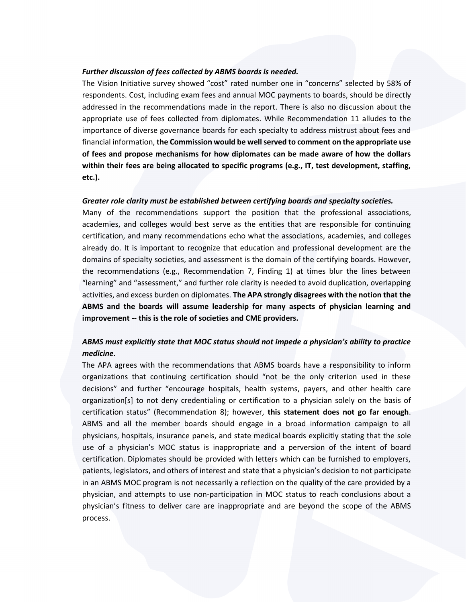### *Further discussion of fees collected by ABMS boards is needed.*

The Vision Initiative survey showed "cost" rated number one in "concerns" selected by 58% of respondents. Cost, including exam fees and annual MOC payments to boards, should be directly addressed in the recommendations made in the report. There is also no discussion about the appropriate use of fees collected from diplomates. While Recommendation 11 alludes to the importance of diverse governance boards for each specialty to address mistrust about fees and financial information, **the Commission would be well served to comment on the appropriate use of fees and propose mechanisms for how diplomates can be made aware of how the dollars within their fees are being allocated to specific programs (e.g., IT, test development, staffing, etc.).**

### *Greater role clarity must be established between certifying boards and specialty societies.*

Many of the recommendations support the position that the professional associations, academies, and colleges would best serve as the entities that are responsible for continuing certification, and many recommendations echo what the associations, academies, and colleges already do. It is important to recognize that education and professional development are the domains of specialty societies, and assessment is the domain of the certifying boards. However, the recommendations (e.g., Recommendation 7, Finding 1) at times blur the lines between "learning" and "assessment," and further role clarity is needed to avoid duplication, overlapping activities, and excess burden on diplomates. **The APA strongly disagrees with the notion that the ABMS and the boards will assume leadership for many aspects of physician learning and improvement -- this is the role of societies and CME providers.**

## *ABMS must explicitly state that MOC status should not impede a physician's ability to practice medicine.*

The APA agrees with the recommendations that ABMS boards have a responsibility to inform organizations that continuing certification should "not be the only criterion used in these decisions" and further "encourage hospitals, health systems, payers, and other health care organization[s] to not deny credentialing or certification to a physician solely on the basis of certification status" (Recommendation 8); however, **this statement does not go far enough**. ABMS and all the member boards should engage in a broad information campaign to all physicians, hospitals, insurance panels, and state medical boards explicitly stating that the sole use of a physician's MOC status is inappropriate and a perversion of the intent of board certification. Diplomates should be provided with letters which can be furnished to employers, patients, legislators, and others of interest and state that a physician's decision to not participate in an ABMS MOC program is not necessarily a reflection on the quality of the care provided by a physician, and attempts to use non-participation in MOC status to reach conclusions about a physician's fitness to deliver care are inappropriate and are beyond the scope of the ABMS process.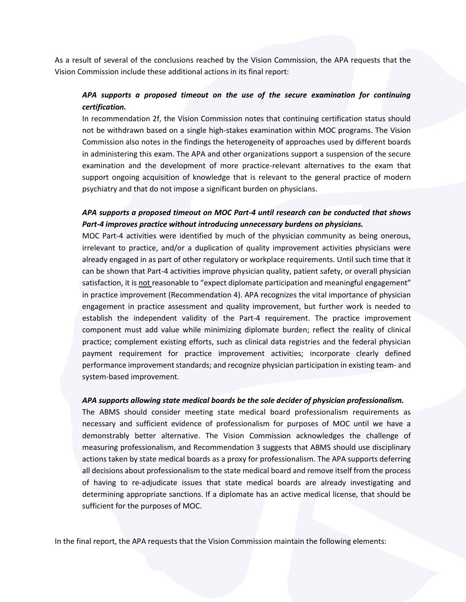As a result of several of the conclusions reached by the Vision Commission, the APA requests that the Vision Commission include these additional actions in its final report:

## *APA supports a proposed timeout on the use of the secure examination for continuing certification.*

In recommendation 2f, the Vision Commission notes that continuing certification status should not be withdrawn based on a single high-stakes examination within MOC programs. The Vision Commission also notes in the findings the heterogeneity of approaches used by different boards in administering this exam. The APA and other organizations support a suspension of the secure examination and the development of more practice-relevant alternatives to the exam that support ongoing acquisition of knowledge that is relevant to the general practice of modern psychiatry and that do not impose a significant burden on physicians.

### *APA supports a proposed timeout on MOC Part-4 until research can be conducted that shows Part-4 improves practice without introducing unnecessary burdens on physicians.*

MOC Part-4 activities were identified by much of the physician community as being onerous, irrelevant to practice, and/or a duplication of quality improvement activities physicians were already engaged in as part of other regulatory or workplace requirements. Until such time that it can be shown that Part-4 activities improve physician quality, patient safety, or overall physician satisfaction, it is not reasonable to "expect diplomate participation and meaningful engagement" in practice improvement (Recommendation 4). APA recognizes the vital importance of physician engagement in practice assessment and quality improvement, but further work is needed to establish the independent validity of the Part-4 requirement. The practice improvement component must add value while minimizing diplomate burden; reflect the reality of clinical practice; complement existing efforts, such as clinical data registries and the federal physician payment requirement for practice improvement activities; incorporate clearly defined performance improvement standards; and recognize physician participation in existing team- and system-based improvement.

### *APA supports allowing state medical boards be the sole decider of physician professionalism.*

The ABMS should consider meeting state medical board professionalism requirements as necessary and sufficient evidence of professionalism for purposes of MOC until we have a demonstrably better alternative. The Vision Commission acknowledges the challenge of measuring professionalism, and Recommendation 3 suggests that ABMS should use disciplinary actions taken by state medical boards as a proxy for professionalism. The APA supports deferring all decisions about professionalism to the state medical board and remove itself from the process of having to re-adjudicate issues that state medical boards are already investigating and determining appropriate sanctions. If a diplomate has an active medical license, that should be sufficient for the purposes of MOC.

In the final report, the APA requests that the Vision Commission maintain the following elements: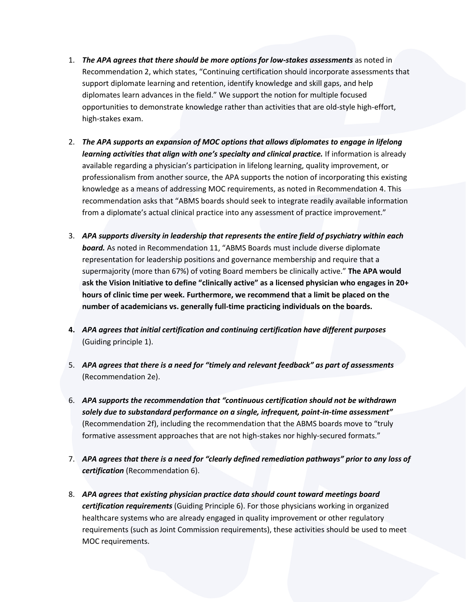- 1. *The APA agrees that there should be more options for low-stakes assessments* as noted in Recommendation 2, which states, "Continuing certification should incorporate assessments that support diplomate learning and retention, identify knowledge and skill gaps, and help diplomates learn advances in the field." We support the notion for multiple focused opportunities to demonstrate knowledge rather than activities that are old-style high-effort, high-stakes exam.
- 2. *The APA supports an expansion of MOC options that allows diplomates to engage in lifelong learning activities that align with one's specialty and clinical practice.* If information is already available regarding a physician's participation in lifelong learning, quality improvement, or professionalism from another source, the APA supports the notion of incorporating this existing knowledge as a means of addressing MOC requirements, as noted in Recommendation 4. This recommendation asks that "ABMS boards should seek to integrate readily available information from a diplomate's actual clinical practice into any assessment of practice improvement."
- 3. *APA supports diversity in leadership that represents the entire field of psychiatry within each board.* As noted in Recommendation 11, "ABMS Boards must include diverse diplomate representation for leadership positions and governance membership and require that a supermajority (more than 67%) of voting Board members be clinically active." **The APA would ask the Vision Initiative to define "clinically active" as a licensed physician who engages in 20+ hours of clinic time per week. Furthermore, we recommend that a limit be placed on the number of academicians vs. generally full-time practicing individuals on the boards.**
- **4.** *APA agrees that initial certification and continuing certification have different purposes*  (Guiding principle 1).
- 5. *APA agrees that there is a need for "timely and relevant feedback" as part of assessments*  (Recommendation 2e).
- 6. *APA supports the recommendation that "continuous certification should not be withdrawn solely due to substandard performance on a single, infrequent, point-in-time assessment"* (Recommendation 2f), including the recommendation that the ABMS boards move to "truly formative assessment approaches that are not high-stakes nor highly-secured formats."
- 7. *APA agrees that there is a need for "clearly defined remediation pathways" prior to any loss of certification* (Recommendation 6).
- 8. *APA agrees that existing physician practice data should count toward meetings board certification requirements* (Guiding Principle 6). For those physicians working in organized healthcare systems who are already engaged in quality improvement or other regulatory requirements (such as Joint Commission requirements), these activities should be used to meet MOC requirements.